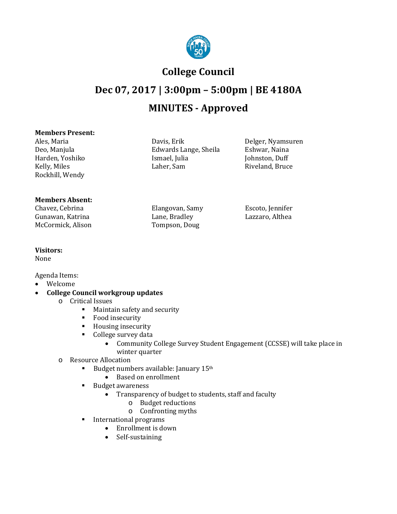

## **College Council**

# **Dec 07, 2017 | 3:00pm – 5:00pm | BE 4180A MINUTES - Approved**

Edwards Lange, Sheila Eshwar, Naina<br>Ismael, Julia Eshwar, Duff

#### **Members Present:**

Ales, Maria Davis, Erik Delger, Nyamsuren Harden, Yoshiko Ismael, Julia<br>Kelly, Miles Laher, Sam Rockhill, Wendy

#### **Members Absent:**

Chavez, Cebrina Elangovan, Samy Escoto, Jennifer Gunawan, Katrina Lane, Bradley<br>McCormick, Alison Tompson, Doug McCormick, Alison

Riveland, Bruce

### **Visitors:**

None

Agenda Items:

- Welcome
- **College Council workgroup updates**
	- o Critical Issues
		- **Maintain safety and security**
		- **Food insecurity**
		- **Housing insecurity**
		- College survey data<br>● Community
			- Community College Survey Student Engagement (CCSSE) will take place in winter quarter
	- o Resource Allocation
		- Budget numbers available: January 15th
			- Based on enrollment
		- Budget awareness
			- Transparency of budget to students, staff and faculty
				- o Budget reductions
				- o Confronting myths
		- **International programs** 
			- Enrollment is down
			- Self-sustaining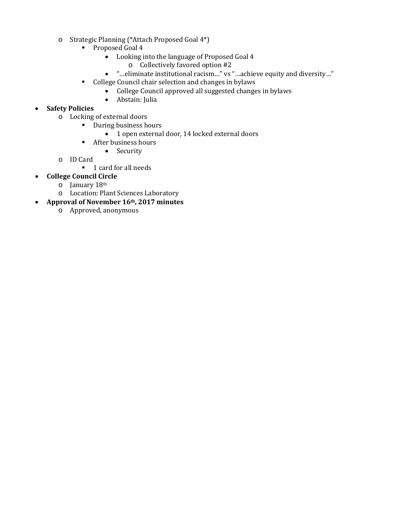- o Strategic Planning (\*Attach Proposed Goal 4\*)
	- Proposed Goal 4
		- Looking into the language of Proposed Goal 4
			- o Collectively favored option #2
		- "…eliminate institutional racism…" vs "…achieve equity and diversity…"
	- College Council chair selection and changes in bylaws
		- College Council approved all suggested changes in bylaws
		- Abstain: Julia

#### • **Safety Policies**

- o Locking of external doors
	- **During business hours** 
		- 1 open external door, 14 locked external doors
	- **After business hours** 
		- Security
- o ID Card
	- 1 card for all needs
- **College Council Circle**
	- o January 18th
	- o Location: Plant Sciences Laboratory
- **Approval of November 16th, 2017 minutes**
	- o Approved, anonymous